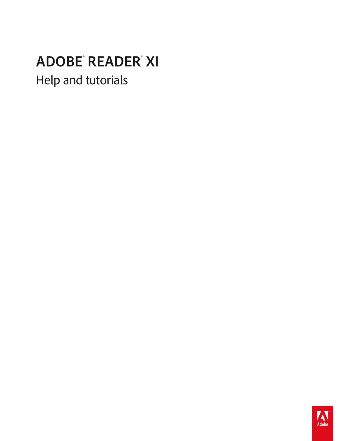# **ADOBE**®  **PRODUCT**™ **ユーザガイド ONLOCATION**™  **NAME VERSION#**  $ADOBE<sup>®</sup> READER<sup>®</sup> XI$  $H$ alo and tutorials is  $\overline{H}$ Help and tutorials

Z Adobe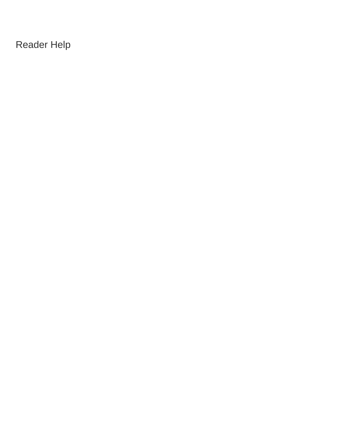Reader Help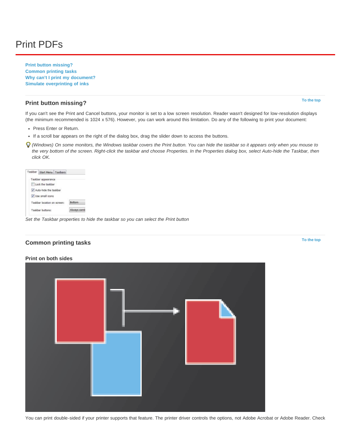# <span id="page-2-0"></span>Print PDFs

**[Print button missing?](#page-2-1) [Common printing tasks](#page-2-2) [Why can't I print my document?](#page-8-0) [Simulate overprinting of inks](#page-9-0)**

# <span id="page-2-1"></span>**Print button missing?**

**[To the top](#page-2-0)**

**[To the top](#page-2-0)**

If you can't see the Print and Cancel buttons, your monitor is set to a low screen resolution. Reader wasn't designed for low-resolution displays (the minimum recommended is 1024 x 576). However, you can work around this limitation. Do any of the following to print your document:

- Press Enter or Return.
- If a scroll bar appears on the right of the dialog box, drag the slider down to access the buttons.
- *(Windows) On some monitors, the Windows taskbar covers the Print button. You can hide the taskbar so it appears only when you mouse to the very bottom of the screen. Right-click the taskbar and choose Properties. In the Properties dialog box, select Auto-hide the Taskbar, then click OK.*

| Taskbar Start Menu Toolbars            |             |
|----------------------------------------|-------------|
| Taskbar appearance<br>Lock the taskbar |             |
| Auto-hide the taskbar                  |             |
| V Use small icons                      |             |
| Taskbar location on screen:            | Bottom      |
| Taskbar buttons:                       | Always comb |

*Set the Taskbar properties to hide the taskbar so you can select the Print button*

# <span id="page-2-2"></span>**Common printing tasks**

**Print on both sides**



You can print double-sided if your printer supports that feature. The printer driver controls the options, not Adobe Acrobat or Adobe Reader. Check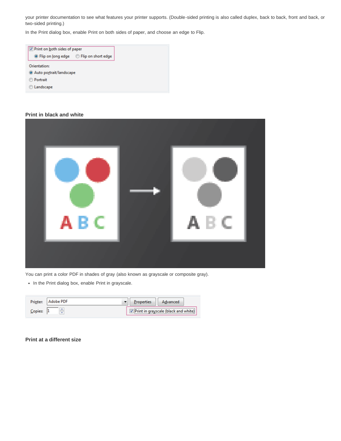your printer documentation to see what features your printer supports. (Double-sided printing is also called duplex, back to back, front and back, or two-sided printing.)

In the Print dialog box, enable Print on both sides of paper, and choose an edge to Flip.



### **Print in black and white**

| A <sub>B</sub> C | $A \, B \, C$ |
|------------------|---------------|
|                  |               |

You can print a color PDF in shades of gray (also known as grayscale or composite gray).

• In the Print dialog box, enable Print in grayscale.

| Adobe PDE      |  | ced                            |
|----------------|--|--------------------------------|
| a.<br>___<br>÷ |  | in grayscale (black and white) |

**Print at a different size**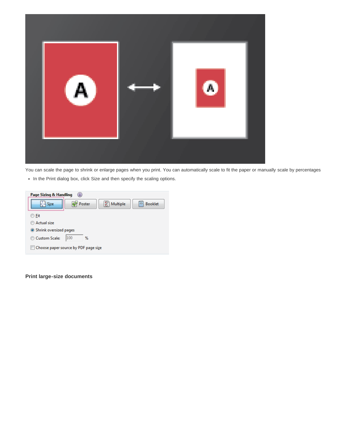

You can scale the page to shrink or enlarge pages when you print. You can automatically scale to fit the paper or manually scale by percentages

• In the Print dialog box, click Size and then specify the scaling options.



**Print large-size documents**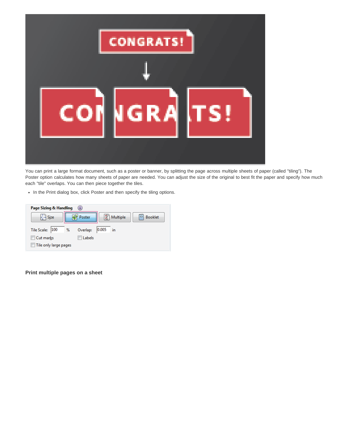

You can print a large format document, such as a poster or banner, by splitting the page across multiple sheets of paper (called "tiling"). The Poster option calculates how many sheets of paper are needed. You can adjust the size of the original to best fit the paper and specify how much each "tile" overlaps. You can then piece together the tiles.

• In the Print dialog box, click Poster and then specify the tiling options.

| Page Sizing & Handling | Œ                                                                 |
|------------------------|-------------------------------------------------------------------|
| Size                   | 탑<br>Multiple<br>Poster<br><b>Booklet</b><br>$\qquad \qquad \Box$ |
| Tile Scale: 100<br>%   | 0.005<br>in<br>Overlap:                                           |
| Cut marks              | Labels                                                            |
| Tile only large pages  |                                                                   |

**Print multiple pages on a sheet**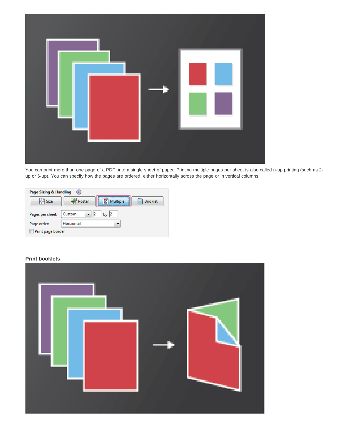

You can print more than one page of a PDF onto a single sheet of paper. Printing multiple pages per sheet is also called n-up printing (such as 2 up or 6-up). You can specify how the pages are ordered, either horizontally across the page or in vertical columns.

| Page Sizing & Handling | σ.                                             |
|------------------------|------------------------------------------------|
| Size                   | Poster<br>Multiple<br><b>Booklet</b><br>$\Box$ |
| Pages per sheet:       | 12<br>Custom<br>bv                             |
| Page order:            | Horizontal                                     |
| Print page border      |                                                |

# **Print booklets**

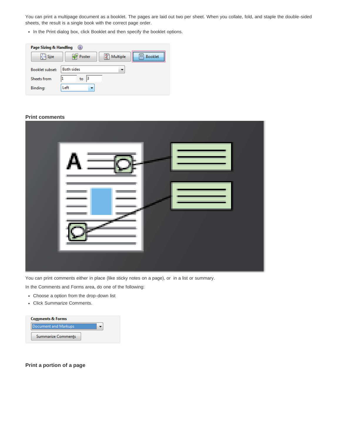You can print a multipage document as a booklet. The pages are laid out two per sheet. When you collate, fold, and staple the double-sided sheets, the result is a single book with the correct page order.

• In the Print dialog box, click Booklet and then specify the booklet options.

| Page Sizing & Handling | $\mathbf{u}$                                   |
|------------------------|------------------------------------------------|
| Size                   | Multiple<br>Poster<br><b>Booklet</b><br>$\Box$ |
| Booklet subset:        | <b>Both sides</b>                              |
| Sheets from            | 13<br>to                                       |
| Binding:               | Left                                           |

# **Print comments**

| - |
|---|
|   |

You can print comments either in place (like sticky notes on a page), or in a list or summary.

In the Comments and Forms area, do one of the following:

- Choose a option from the drop-down list
- Click Summarize Comments.



**Print a portion of a page**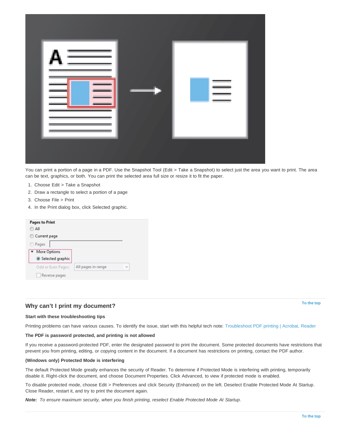| 唐 |  |  |
|---|--|--|
|   |  |  |
|   |  |  |
|   |  |  |

You can print a portion of a page in a PDF. Use the Snapshot Tool (Edit > Take a Snapshot) to select just the area you want to print. The area can be text, graphics, or both. You can print the selected area full size or resize it to fit the paper.

- 1. Choose Edit > Take a Snapshot
- 2. Draw a rectangle to select a portion of a page
- 3. Choose File > Print
- 4. In the Print dialog box, click Selected graphic.

| All pages in range |  |
|--------------------|--|
|                    |  |
|                    |  |

# <span id="page-8-0"></span>**Why can't I print my document?**

**[To the top](#page-2-0)**

#### **Start with these troubleshooting tips**

Printing problems can have various causes. To identify the issue, start with this helpful tech note: [Troubleshoot PDF printing | Acrobat, Reader](http://kb2.adobe.com/cps/873/cpsid_87346.html)

#### **The PDF is password protected, and printing is not allowed**

If you receive a password-protected PDF, enter the designated password to print the document. Some protected documents have restrictions that prevent you from printing, editing, or copying content in the document. If a document has restrictions on printing, contact the PDF author.

#### **(Windows only) Protected Mode is interfering**

The default Protected Mode greatly enhances the security of Reader. To determine if Protected Mode is interfering with printing, temporarily disable it. Right-click the document, and choose Document Properties. Click Advanced, to view if protected mode is enabled.

To disable protected mode, choose Edit > Preferences and click Security (Enhanced) on the left. Deselect Enable Protected Mode At Startup. Close Reader, restart it, and try to print the document again.

*Note: To ensure maximum security, when you finish printing, reselect Enable Protected Mode At Startup.*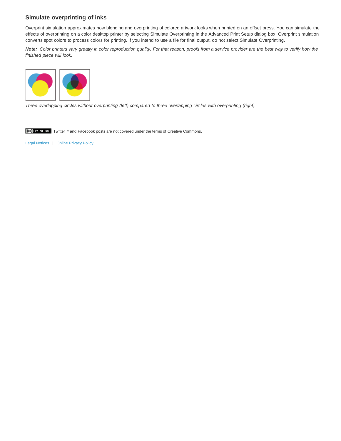# <span id="page-9-0"></span>**Simulate overprinting of inks**

Overprint simulation approximates how blending and overprinting of colored artwork looks when printed on an offset press. You can simulate the effects of overprinting on a color desktop printer by selecting Simulate Overprinting in the Advanced Print Setup dialog box. Overprint simulation converts spot colors to process colors for printing. If you intend to use a file for final output, do not select Simulate Overprinting.

*Note: Color printers vary greatly in color reproduction quality. For that reason, proofs from a service provider are the best way to verify how the finished piece will look.*



*Three overlapping circles without overprinting (left) compared to three overlapping circles with overprinting (right).*

Twitter™ and Facebook posts are not covered under the terms of Creative Commons.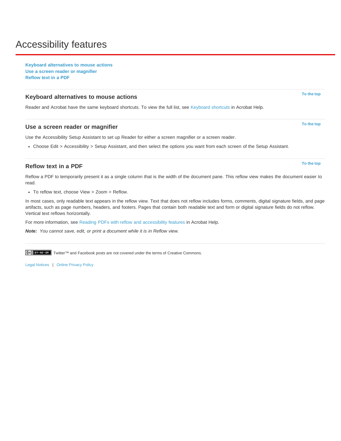# <span id="page-10-0"></span>Accessibility features

**[Keyboard alternatives to mouse actions](#page-10-1) [Use a screen reader or magnifier](#page-10-2) [Reflow text in a PDF](#page-10-3)**

# <span id="page-10-1"></span>**Keyboard alternatives to mouse actions**

Reader and Acrobat have the same keyboard shortcuts. To view the full list, see [Keyboard shortcuts](http://help.adobe.com/en_US/acrobat/using/WS58a04a822e3e50102bd615109794195ff-7aed.w.html) in Acrobat Help.

#### <span id="page-10-2"></span>**Use a screen reader or magnifier**

Use the Accessibility Setup Assistant to set up Reader for either a screen magnifier or a screen reader.

Choose Edit > Accessibility > Setup Assistant, and then select the options you want from each screen of the Setup Assistant.

#### <span id="page-10-3"></span>**Reflow text in a PDF**

Reflow a PDF to temporarily present it as a single column that is the width of the document pane. This reflow view makes the document easier to read.

To reflow text, choose View > Zoom > Reflow.

In most cases, only readable text appears in the reflow view. Text that does not reflow includes forms, comments, digital signature fields, and page artifacts, such as page numbers, headers, and footers. Pages that contain both readable text and form or digital signature fields do not reflow. Vertical text reflows horizontally.

For more information, see [Reading PDFs with reflow and accessibility features](http://help.adobe.com/en_US/acrobat/using/WS58a04a822e3e50102bd615109794195ff-7d24.w.html) in Acrobat Help.

*Note: You cannot save, edit, or print a document while it is in Reflow view.*

Tec)**EY-NG-5R** Twitter™ and Facebook posts are not covered under the terms of Creative Commons.

[Legal Notices](http://help.adobe.com/en_US/legalnotices/index.html) | [Online Privacy Policy](http://helpx.adobe.com/go/gffooter_online_privacy_policy)

**[To the top](#page-10-0)**

**[To the top](#page-10-0)**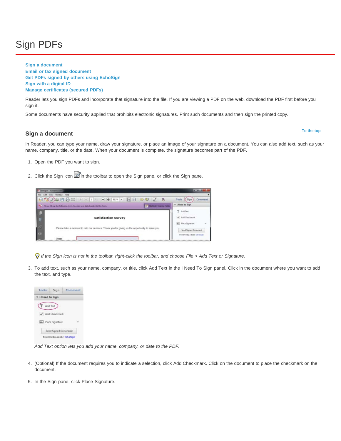# <span id="page-11-0"></span>Sign PDFs

**[Sign a document](#page-11-1) [Email or fax signed document](#page-12-0) [Get PDFs signed by others using EchoSign](#page-13-0) [Sign with a digital ID](#page-13-1) [Manage certificates \(secured PDFs\)](#page-14-0)**

Reader lets you sign PDFs and incorporate that signature into the file. If you are viewing a PDF on the web, download the PDF first before you sign it.

Some documents have security applied that prohibits electronic signatures. Print such documents and then sign the printed copy.

# <span id="page-11-1"></span>**Sign a document**

In Reader, you can type your name, draw your signature, or place an image of your signature on a document. You can also add text, such as your name, company, title, or the date. When your document is complete, the signature becomes part of the PDF.

- 1. Open the PDF you want to sign.
- 2. Click the Sign icon  $\mathbb Z$  in the toolbar to open the Sign pane, or click the Sign pane.



*If the Sign icon is not in the toolbar, right-click the toolbar, and choose File > Add Text or Signature.*

3. To add text, such as your name, company, or title, click Add Text in the I Need To Sign panel. Click in the document where you want to add the text, and type.



*Add Text option lets you add your name, company, or date to the PDF.*

- 4. (Optional) If the document requires you to indicate a selection, click Add Checkmark. Click on the document to place the checkmark on the document.
- 5. In the Sign pane, click Place Signature.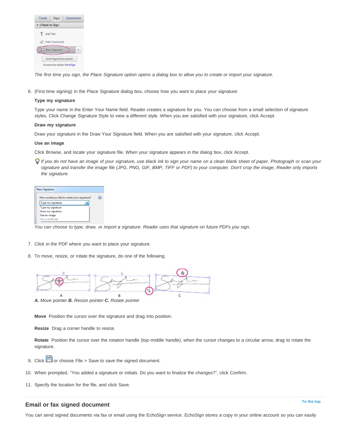| v I Need to Sign     |  |
|----------------------|--|
| T Add Text           |  |
| Add Checkmark        |  |
|                      |  |
| Le Place Signature   |  |
| Send Signed Document |  |

*The first time you sign, the Place Signature option opens a dialog box to allow you to create or import your signature.*

6. (First time signing) In the Place Signature dialog box, choose how you want to place your signature:

#### **Type my signature**

Type your name in the Enter Your Name field. Reader creates a signature for you. You can choose from a small selection of signature styles. Click Change Signature Style to view a different style. When you are satisfied with your signature, click Accept.

#### **Draw my signature**

Draw your signature in the Draw Your Signature field. When you are satisfied with your signature, click Accept.

#### **Use an image**

Click Browse, and locate your signature file. When your signature appears in the dialog box, click Accept.

*If you do not have an image of your signature, use black ink to sign your name on a clean blank sheet of paper. Photograph or scan your signature and transfer the image file (JPG, PNG, GIF, BMP, TIFF or PDF) to your computer. Don't crop the image, Reader only imports the signature.*

| Place Signature                              |  |
|----------------------------------------------|--|
| How would you like to create your signature? |  |
| Type my signature                            |  |
| Type my signature                            |  |
| Draw my signature                            |  |
| Use an image                                 |  |
| Use a certificate                            |  |

*You can choose to type, draw, or import a signature. Reader uses that signature on future PDFs you sign.*

- 7. Click in the PDF where you want to place your signature.
- 8. To move, resize, or rotate the signature, do one of the following.



*A. Move pointer B. Resize pointer C. Rotate pointer* 

**Move** Position the cursor over the signature and drag into position.

**Resize** Drag a corner handle to resize.

**Rotate** Position the cursor over the rotation handle (top-middle handle), when the cursor changes to a circular arrow, drag to rotate the signature.

- 9. Click or choose File > Save to save the signed document.
- 10. When prompted, "You added a signature or initials. Do you want to finalize the changes?", click Confirm.
- 11. Specify the location for the file, and click Save.

# <span id="page-12-0"></span>**Email or fax signed document**

You can send signed documents via fax or email using the EchoSign service. EchoSign stores a copy in your online account so you can easily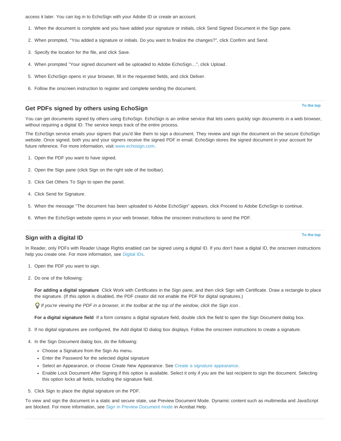access it later. You can log in to EchoSign with your Adobe ID or create an account.

- 1. When the document is complete and you have added your signature or initials, click Send Signed Document in the Sign pane.
- 2. When prompted, "You added a signature or initials. Do you want to finalize the changes?", click Confirm and Send.
- 3. Specify the location for the file, and click Save.
- 4. When prompted "Your signed document will be uploaded to Adobe EchoSign…", click Upload.
- 5. When EchoSign opens in your browser, fill in the requested fields, and click Deliver.
- 6. Follow the onscreen instruction to register and complete sending the document.

### <span id="page-13-0"></span>**Get PDFs signed by others using EchoSign**

You can get documents signed by others using EchoSign. EchoSign is an online service that lets users quickly sign documents in a web browser, without requiring a digital ID. The service keeps track of the entire process.

The EchoSign service emails your signers that you'd like them to sign a document. They review and sign the document on the secure EchoSign website. Once signed, both you and your signers receive the signed PDF in email. EchoSign stores the signed document in your account for future reference. For more information, visit [www.echosign.com.](http://www.echosign.com/)

- 1. Open the PDF you want to have signed.
- 2. Open the Sign pane (click Sign on the right side of the toolbar).
- 3. Click Get Others To Sign to open the panel.
- 4. Click Send for Signature.
- 5. When the message "The document has been uploaded to Adobe EchoSign" appears, click Proceed to Adobe EchoSign to continue.
- 6. When the EchoSign website opens in your web browser, follow the onscreen instructions to send the PDF.

# <span id="page-13-1"></span>**Sign with a digital ID**

In Reader, only PDFs with Reader Usage Rights enabled can be signed using a digital ID. If you don't have a digital ID, the onscreen instructions help you create one. For more information, see [Digital IDs](http://help.adobe.com/en_US/acrobat/using/WS11dd809af63f0e1e-43e0464b12b4384d3b6-8000.html).

- 1. Open the PDF you want to sign.
- 2. Do one of the following:

**For adding a digital signature** Click Work with Certificates in the Sign pane, and then click Sign with Certificate. Draw a rectangle to place the signature. (If this option is disabled, the PDF creator did not enable the PDF for digital signatures.)

*If you're viewing the PDF in a browser, in the toolbar at the top of the window, click the Sign icon .*

For a digital signature field If a form contains a digital signature field, double click the field to open the Sign Document dialog box.

- 3. If no digital signatures are configured, the Add digital ID dialog box displays. Follow the onscreen instructions to create a signature.
- 4. In the Sign Document dialog box, do the following:
	- Choose a Signature from the Sign As menu.
	- Enter the Password for the selected digital signature
	- Select an Appearance, or choose Create New Appearance. See [Create a signature appearance.](http://help.adobe.com/en_US/acrobat/using/WS396794562021d52e4605066e12b3464c4db-8000.html#WS58a04a822e3e50102bd615109794195ff-7d43.w)
	- Enable Lock Document After Signing if this option is available. Select it only if you are the last recipient to sign the document. Selecting this option locks all fields, including the signature field.
- 5. Click Sign to place the digital signature on the PDF.

To view and sign the document in a static and secure state, use Preview Document Mode. Dynamic content such as multimedia and JavaScript are blocked. For more information, see [Sign in Preview Document mode](http://help.adobe.com/en_US/acrobat/using/WS02D75AD2-669B-4b79-9838-3C2493733423.w.html) in Acrobat Help.

#### **[To the top](#page-11-0)**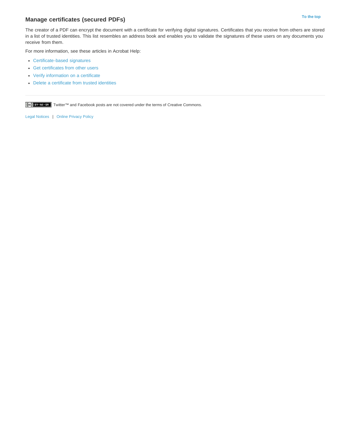# <span id="page-14-0"></span>**Manage certificates (secured PDFs)** [To the top](#page-11-0) **To the top**

The creator of a PDF can encrypt the document with a certificate for verifying digital signatures. Certificates that you receive from others are stored in a list of trusted identities. This list resembles an address book and enables you to validate the signatures of these users on any documents you receive from them.

For more information, see these articles in Acrobat Help:

- [Certificate-based signatures](http://help.adobe.com/en_US/acrobat/using/WS58a04a822e3e50102bd615109794195ff-7d4a.w.html)
- [Get certificates from other users](http://help.adobe.com/en_US/acrobat/using/WS58a04a822e3e50102bd615109794195ff-7d8b.w.html#WS58a04a822e3e50102bd615109794195ff-7d88.w)
- [Verify information on a certificate](http://help.adobe.com/en_US/acrobat/using/WS58a04a822e3e50102bd615109794195ff-7d8b.w.html#WS58a04a822e3e50102bd615109794195ff-7d81.w)
- [Delete a certificate from trusted identities](http://help.adobe.com/en_US/acrobat/using/WS58a04a822e3e50102bd615109794195ff-7d8b.w.html#WS58a04a822e3e50102bd615109794195ff-7d82.w)

Twitter™ and Facebook posts are not covered under the terms of Creative Commons.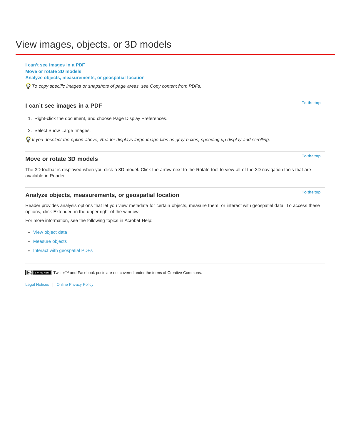# <span id="page-15-0"></span>View images, objects, or 3D models

#### **[I can't see images in a PDF](#page-15-1) [Move or rotate 3D models](#page-15-2)**

**[Analyze objects, measurements, or geospatial location](#page-15-3)**

*To copy specific images or snapshots of page areas, see Copy content from PDFs.*

# <span id="page-15-1"></span>**I can't see images in a PDF**

- 1. Right-click the document, and choose Page Display Preferences.
- 2. Select Show Large Images.

*If you deselect the option above, Reader displays large image files as gray boxes, speeding up display and scrolling.*

# <span id="page-15-2"></span>**Move or rotate 3D models**

The 3D toolbar is displayed when you click a 3D model. Click the arrow next to the Rotate tool to view all of the 3D navigation tools that are available in Reader.

# <span id="page-15-3"></span>**Analyze objects, measurements, or geospatial location**

Reader provides analysis options that let you view metadata for certain objects, measure them, or interact with geospatial data. To access these options, click Extended in the upper right of the window.

For more information, see the following topics in Acrobat Help:

- [View object data](http://help.adobe.com/en_US/acrobat/using/WS58a04a822e3e50102bd615109794195ff-7c62.w.html)
- [Measure objects](http://help.adobe.com/en_US/acrobat/using/WS58a04a822e3e50102bd615109794195ff-7f9d.w.html#WS58a04a822e3e50102bd615109794195ff-7f91.w)
- [Interact with geospatial PDFs](http://help.adobe.com/en_US/acrobat/using/WS8244FB06-C3F6-40cd-9D95-261B9DAF0070.html)

Twitter™ and Facebook posts are not covered under the terms of Creative Commons.

[Legal Notices](http://help.adobe.com/en_US/legalnotices/index.html) | [Online Privacy Policy](http://helpx.adobe.com/go/gffooter_online_privacy_policy)

**[To the top](#page-15-0)**

**[To the top](#page-15-0)**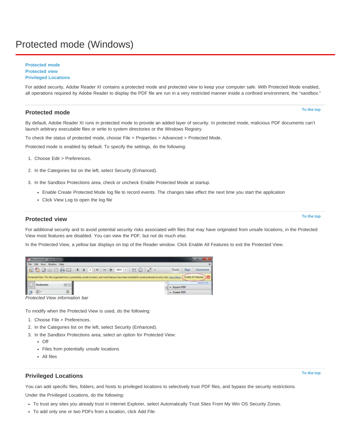# <span id="page-16-0"></span>Protected mode (Windows)

#### **[Protected mode](#page-16-1) [Protected view](#page-16-2) [Privileged Locations](#page-16-3)**

For added security, Adobe Reader XI contains a protected mode and protected view to keep your computer safe. With Protected Mode enabled, all operations required by Adobe Reader to display the PDF file are run in a very restricted manner inside a confined environment, the "sandbox."

# <span id="page-16-1"></span>**Protected mode**

By default, Adobe Reader XI runs in protected mode to provide an added layer of security. In protected mode, malicious PDF documents can't launch arbitrary executable files or write to system directories or the Windows Registry.

To check the status of protected mode, choose File > Properties > Advanced > Protected Mode.

Protected mode is enabled by default. To specify the settings, do the following:

- 1. Choose Edit > Preferences.
- 2. In the Categories list on the left, select Security (Enhanced).

3. In the Sandbox Protections area, check or uncheck Enable Protected Mode at startup.

- Enable Create Protected Mode log file to record events. The changes take effect the next time you start the application
- Click View Log to open the log file

#### <span id="page-16-2"></span>**Protected view**

For additional security and to avoid potential security risks associated with files that may have originated from unsafe locations, in the Protected View most features are disabled. You can view the PDF, but not do much else.

In the Protected View, a yellow bar displays on top of the Reader window. Click Enable All Features to exit the Protected View.

|         | Document pdf - Adobe Reader |  |  |  |  |  |  |  |                                                                                                                                                                |       |                     |
|---------|-----------------------------|--|--|--|--|--|--|--|----------------------------------------------------------------------------------------------------------------------------------------------------------------|-------|---------------------|
|         | File Edit View Window Help  |  |  |  |  |  |  |  |                                                                                                                                                                |       |                     |
|         |                             |  |  |  |  |  |  |  | Tools                                                                                                                                                          | Sign: | Comment             |
|         |                             |  |  |  |  |  |  |  |                                                                                                                                                                |       |                     |
|         |                             |  |  |  |  |  |  |  | Protected View: This file originated from a potentially unsafe location, and most features have been disabled to avoid potential security risks. Learn Mons. ( |       | Enable All Features |
|         |                             |  |  |  |  |  |  |  |                                                                                                                                                                |       | Vikitant Rai -      |
| L<br>le | <b>Bookmarks</b>            |  |  |  |  |  |  |  | + Export PDF                                                                                                                                                   |       |                     |

*Protected View information bar*

To modify when the Protected View is used, do the following:

- 1. Choose File > Preferences.
- 2. In the Categories list on the left, select Security (Enhanced).
- 3. In the Sandbox Protections area, select an option for Protected View:
	- Off
	- Files from potentially unsafe locations
	- All files

# <span id="page-16-3"></span>**Privileged Locations**

You can add specific files, folders, and hosts to privileged locations to selectively trust PDF files, and bypass the security restrictions.

Under the Privileged Locations, do the following:

- To trust any sites you already trust in Internet Explorer, select Automatically Trust Sites From My Win OS Security Zones.
- To add only one or two PDFs from a location, click Add File.

**[To the top](#page-16-0)**

#### **[To the top](#page-16-0)**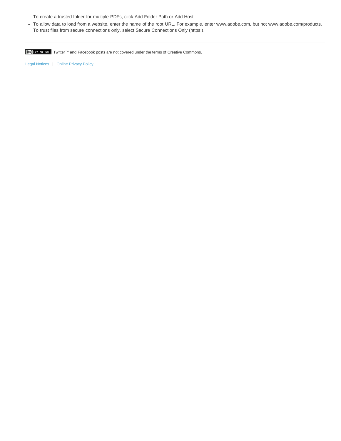To create a trusted folder for multiple PDFs, click Add Folder Path or Add Host.

To allow data to load from a website, enter the name of the root URL. For example, enter www.adobe.com, but not www.adobe.com/products. To trust files from secure connections only, select Secure Connections Only (https:).

Twitter™ and Facebook posts are not covered under the terms of Creative Commons.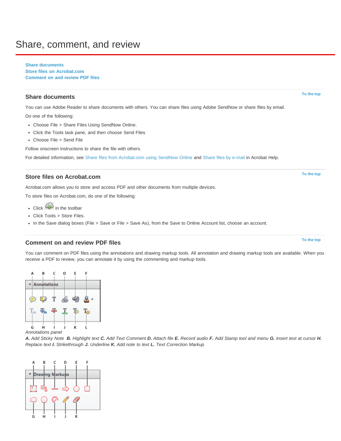# <span id="page-18-0"></span>Share, comment, and review

**[Share documents](#page-18-1) [Store files on Acrobat.com](#page-18-2) [Comment on and review PDF files](#page-18-3)**

# <span id="page-18-1"></span>**Share documents**

You can use Adobe Reader to share documents with others. You can share files using Adobe SendNow or share files by email.

Do one of the following:

- Choose File > Share Files Using SendNow Online.
- Click the Tools task pane, and then choose Send Files
- Choose File > Send File

Follow onscreen instructions to share the file with others.

For detailed information, see [Share files from Acrobat.com using SendNow Online](http://help.adobe.com/en_US/acrobat/using/WSdd9016941e18301166aeac2612a18183190-8000.html) and [Share files by e-mail](http://help.adobe.com/en_US/acrobat/using/WSdd9016941e1830114cd3902812a181c1f49-8000.html) in Acrobat Help.

# <span id="page-18-2"></span>**Store files on Acrobat.com**

Acrobat.com allows you to store and access PDF and other documents from multiple devices.

To store files on Acrobat.com, do one of the following:

- $\cdot$  Click  $\circledcirc$  in the toolbar
- Click Tools > Store Files.
- In the Save dialog boxes (File > Save or File > Save As), from the Save to Online Account list, choose an account.

## <span id="page-18-3"></span>**Comment on and review PDF files**

You can comment on PDF files using the annotations and drawing markup tools. All annotation and drawing markup tools are available. When you receive a PDF to review, you can annotate it by using the commenting and markup tools.





A. Add Sticky Note B. Highlight text C. Add Text Comment D. Attach file E. Record audio F. Add Stamp tool and menu G. Insert text at cursor H. *Replace text I. Strikethrough J. Underline K. Add note to text L. Text Correction Markup* 



**[To the top](#page-18-0)**

**[To the top](#page-18-0)**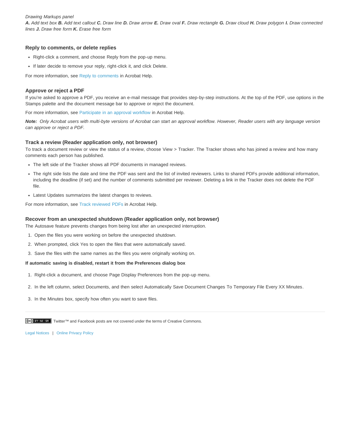*Drawing Markups panel* A. Add text box B. Add text callout C. Draw line D. Draw arrow E. Draw oval F. Draw rectangle G. Draw cloud H. Draw polygon I. Draw connected *lines J. Draw free form K. Erase free form* 

#### **Reply to comments, or delete replies**

- Right-click a comment, and choose Reply from the pop-up menu.
- If later decide to remove your reply, right-click it, and click Delete.

For more information, see [Reply to comments](http://help.adobe.com/en_US/acrobat/using/WS58a04a822e3e50102bd615109794195ff-7e46.w.html) in Acrobat Help.

#### **Approve or reject a PDF**

If you're asked to approve a PDF, you receive an e-mail message that provides step-by-step instructions. At the top of the PDF, use options in the Stamps palette and the document message bar to approve or reject the document.

For more information, see [Participate in an approval workflow](http://help.adobe.com/en_US/acrobat/using/WSEA47BDB8-F614-4a8a-B707-C6081CBB9EF8.w.html) in Acrobat Help.

*Note: Only Acrobat users with multi-byte versions of Acrobat can start an approval workflow. However, Reader users with any language version can approve or reject a PDF.*

#### **Track a review (Reader application only, not browser)**

To track a document review or view the status of a review, choose View > Tracker. The Tracker shows who has joined a review and how many comments each person has published.

- The left side of the Tracker shows all PDF documents in managed reviews.
- The right side lists the date and time the PDF was sent and the list of invited reviewers. Links to shared PDFs provide additional information, including the deadline (if set) and the number of comments submitted per reviewer. Deleting a link in the Tracker does not delete the PDF file.
- Latest Updates summarizes the latest changes to reviews.

For more information, see [Track reviewed PDFs](http://help.adobe.com/en_US/acrobat/using/WSF828A086-90E7-440d-889B-C2A5AE655E57.w.html) in Acrobat Help.

#### **Recover from an unexpected shutdown (Reader application only, not browser)**

The Autosave feature prevents changes from being lost after an unexpected interruption.

- 1. Open the files you were working on before the unexpected shutdown.
- 2. When prompted, click Yes to open the files that were automatically saved.
- 3. Save the files with the same names as the files you were originally working on.

#### **If automatic saving is disabled, restart it from the Preferences dialog box**

- 1. Right-click a document, and choose Page Display Preferences from the pop-up menu.
- 2. In the left column, select Documents, and then select Automatically Save Document Changes To Temporary File Every XX Minutes.
- 3. In the Minutes box, specify how often you want to save files.

Twitter™ and Facebook posts are not covered under the terms of Creative Commons.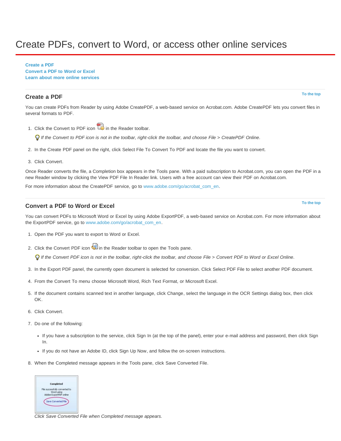# <span id="page-20-0"></span>Create PDFs, convert to Word, or access other online services

**[Create a PDF](#page-20-1)**

**[Convert a PDF to Word or Excel](#page-20-2) [Learn about more online services](#page-21-0)**

# <span id="page-20-1"></span>**Create a PDF**

**[To the top](#page-20-0)**

**[To the top](#page-20-0)**

You can create PDFs from Reader by using Adobe CreatePDF, a web-based service on Acrobat.com. Adobe CreatePDF lets you convert files in several formats to PDF.

1. Click the Convert to PDF icon  $\Box$  in the Reader toolbar.

*If the Convert to PDF icon is not in the toolbar, right-click the toolbar, and choose File > CreatePDF Online.*

- 2. In the Create PDF panel on the right, click Select File To Convert To PDF and locate the file you want to convert.
- 3. Click Convert.

Once Reader converts the file, a Completion box appears in the Tools pane. With a paid subscription to Acrobat.com, you can open the PDF in a new Reader window by clicking the View PDF File In Reader link. Users with a free account can view their PDF on Acrobat.com.

For more information about the CreatePDF service, go to [www.adobe.com/go/acrobat\\_com\\_en.](http://www.adobe.com/go/acrobat_com_en)

# <span id="page-20-2"></span>**Convert a PDF to Word or Excel**

You can convert PDFs to Microsoft Word or Excel by using Adobe ExportPDF, a web-based service on Acrobat.com. For more information about the ExportPDF service, go to [www.adobe.com/go/acrobat\\_com\\_en.](http://www.adobe.com/go/acrobat_com_en)

- 1. Open the PDF you want to export to Word or Excel.
- 2. Click the Convert PDF icon in the Reader toolbar to open the Tools pane.

*If the Convert PDF icon is not in the toolbar, right-click the toolbar, and choose File > Convert PDF to Word or Excel Online.*

- 3. In the Export PDF panel, the currently open document is selected for conversion. Click Select PDF File to select another PDF document.
- 4. From the Convert To menu choose Microsoft Word, Rich Text Format, or Microsoft Excel.
- 5. If the document contains scanned text in another language, click Change, select the language in the OCR Settings dialog box, then click OK.
- 6. Click Convert.
- 7. Do one of the following:
	- If you have a subscription to the service, click Sign In (at the top of the panel), enter your e-mail address and password, then click Sign In.
	- If you do not have an Adobe ID, click Sign Up Now, and follow the on-screen instructions.
- 8. When the Completed message appears in the Tools pane, click Save Converted File.



*Click Save Converted File when Completed message appears.*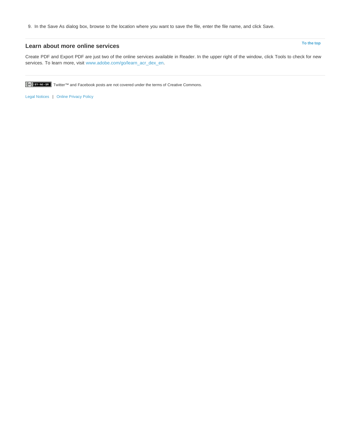9. In the Save As dialog box, browse to the location where you want to save the file, enter the file name, and click Save.

# <span id="page-21-0"></span>**Learn about more online services**

Create PDF and Export PDF are just two of the online services available in Reader. In the upper right of the window, click Tools to check for new services. To learn more, visit [www.adobe.com/go/learn\\_acr\\_dex\\_en.](http://www.adobe.com/go/learn_acr_dex_en)

**[To the top](#page-20-0)**

Tec)BY-NC-5R Twitter™ and Facebook posts are not covered under the terms of Creative Commons.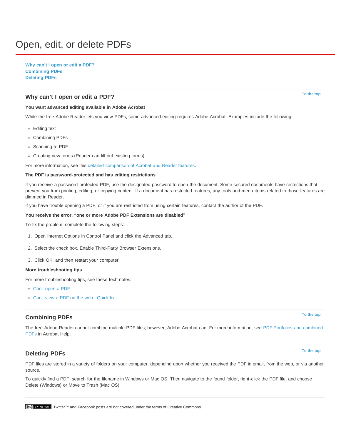# <span id="page-22-0"></span>Open, edit, or delete PDFs

**[Why can't I open or edit a PDF?](#page-22-1) [Combining PDFs](#page-22-2) [Deleting PDFs](#page-22-3)**

### <span id="page-22-1"></span>**Why can't I open or edit a PDF?**

**You want advanced editing available in Adobe Acrobat**

While the free Adobe Reader lets you view PDFs, some advanced editing requires Adobe Acrobat. Examples include the following:

- Editing text
- Combining PDFs
- Scanning to PDF
- Creating new forms (Reader can fill out existing forms)

For more information, see this [detailed comparison of Acrobat and Reader features.](http://www.adobe.com/products/acrobat/matrix.html)

#### **The PDF is password-protected and has editing restrictions**

If you receive a password-protected PDF, use the designated password to open the document. Some secured documents have restrictions that prevent you from printing, editing, or copying content. If a document has restricted features, any tools and menu items related to those features are dimmed in Reader.

If you have trouble opening a PDF, or if you are restricted from using certain features, contact the author of the PDF.

#### **You receive the error, "one or more Adobe PDF Extensions are disabled"**

To fix the problem, complete the following steps:

- 1. Open Internet Options in Control Panel and click the Advanced tab.
- 2. Select the check box, Enable Third-Party Browser Extensions.
- 3. Click OK, and then restart your computer.

#### **More troubleshooting tips**

For more troubleshooting tips, see these tech notes:

- [Can't open a PDF](http://kb2.adobe.com/cps/836/cpsid_83686.html)
- [Can't view a PDF on the web | Quick fix](http://kb2.adobe.com/cps/836/cpsid_83688.html)

#### <span id="page-22-2"></span>**Combining PDFs**

The free Adobe Reader cannot combine multiple PDF files; however, Adobe Acrobat can. For more information, see [PDF Portfolios and combined](http://help.adobe.com/en_US/acrobat/using/WS58a04a822e3e50102bd615109794195ff-7edd.w.html) [PDFs](http://help.adobe.com/en_US/acrobat/using/WS58a04a822e3e50102bd615109794195ff-7edd.w.html) in Acrobat Help.

# <span id="page-22-3"></span>**Deleting PDFs**

PDF files are stored in a variety of folders on your computer, depending upon whether you received the PDF in email, from the web, or via another source.

To quickly find a PDF, search for the filename in Windows or Mac OS. Then navigate to the found folder, right-click the PDF file, and choose Delete (Windows) or Move to Trash (Mac OS).

Twitter™ and Facebook posts are not covered under the terms of Creative Commons.

#### **[To the top](#page-22-0)**

**[To the top](#page-22-0)**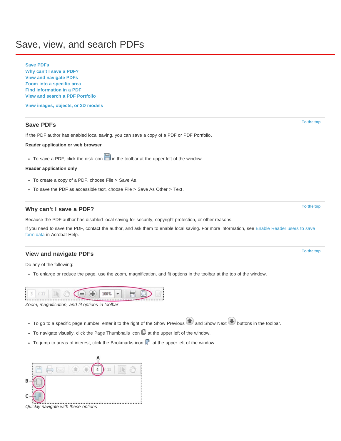# <span id="page-24-0"></span>Save, view, and search PDFs

**[Save PDFs](#page-24-1)**

**[Why can't I save a PDF?](#page-24-2) [View and navigate PDFs](#page-24-3) [Zoom into a specific area](#page-25-0) [Find information in a PDF](#page-25-1) [View and search a PDF Portfolio](#page-25-2)**

**[View images, objects, or 3D models](http://idiom-q-win-1/reader/using/view-images-objects-or-3d.html)**

### <span id="page-24-1"></span>**Save PDFs**

If the PDF author has enabled local saving, you can save a copy of a PDF or PDF Portfolio.

**Reader application or web browser**

To save a PDF, click the disk icon  $\Box$  in the toolbar at the upper left of the window.

#### **Reader application only**

- To create a copy of a PDF, choose File > Save As.
- To save the PDF as accessible text, choose File > Save As Other > Text.

# <span id="page-24-2"></span>**Why can't I save a PDF?**

Because the PDF author has disabled local saving for security, copyright protection, or other reasons.

If you need to save the PDF, contact the author, and ask them to enable local saving. For more information, see [Enable Reader users to save](http://help.adobe.com/en_US/acrobat/using/WS58a04a822e3e50102bd615109794195ff-7e0d.w.html) [form data](http://help.adobe.com/en_US/acrobat/using/WS58a04a822e3e50102bd615109794195ff-7e0d.w.html) in Acrobat Help.

### <span id="page-24-3"></span>**View and navigate PDFs**

Do any of the following:

To enlarge or reduce the page, use the zoom, magnification, and fit options in the toolbar at the top of the window.

*Zoom, magnification, and fit options in toolbar*

- To go to a specific page number, enter it to the right of the Show Previous  $\bigcirc$  and Show Next  $\bigcirc$  buttons in the toolbar.
- $\bullet$  To navigate visually, click the Page Thumbnails icon  $\Box$  at the upper left of the window.
- To jump to areas of interest, click the Bookmarks icon  $\mathbb F$  at the upper left of the window.



*Quickly navigate with these options*

**[To the top](#page-24-0)**

**[To the top](#page-24-0)**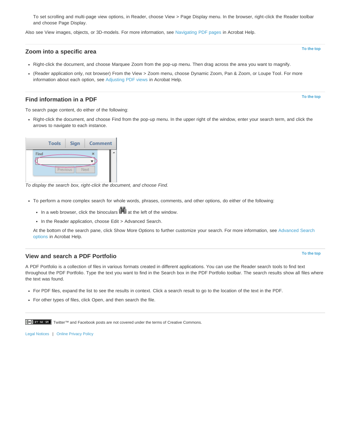To set scrolling and multi-page view options, in Reader, choose View > Page Display menu. In the browser, right-click the Reader toolbar and choose Page Display.

Also see View images, objects, or 3D-models. For more information, see [Navigating PDF pages](http://help.adobe.com/en_US/acrobat/using/WSD1CC3AD9-BF89-452d-AF01-70EEE881A39B.w.html) in Acrobat Help.

### <span id="page-25-0"></span>**Zoom into a specific area**

- Right-click the document, and choose Marquee Zoom from the pop-up menu. Then drag across the area you want to magnify.
- (Reader application only, not browser) From the View > Zoom menu, choose Dynamic Zoom, Pan & Zoom, or Loupe Tool. For more information about each option, see [Adjusting PDF views](http://help.adobe.com/en_US/acrobat/using/WS58a04a822e3e50102bd615109794195ff-7fd5.w.html) in Acrobat Help.

# <span id="page-25-1"></span>**Find information in a PDF**

**[To the top](#page-24-0)**

To search page content, do either of the following:

Right-click the document, and choose Find from the pop-up menu. In the upper right of the window, enter your search term, and click the arrows to navigate to each instance.

|      | <b>Tools</b> | <b>Sign</b> | Comment |  |
|------|--------------|-------------|---------|--|
| Find | Previous     |             | Next    |  |

*To display the search box, right-click the document, and choose Find.*

- To perform a more complex search for whole words, phrases, comments, and other options, do either of the following:
	- In a web browser, click the binoculars  $\mathbb{H}$  at the left of the window.
	- In the Reader application, choose Edit > Advanced Search.

At the bottom of the search pane, click Show More Options to further customize your search. For more information, see [Advanced Search](http://help.adobe.com/en_US/acrobat/using/WS047F7D61-E05E-4e82-98BA-F84B2E7A5974.w.html) [options](http://help.adobe.com/en_US/acrobat/using/WS047F7D61-E05E-4e82-98BA-F84B2E7A5974.w.html) in Acrobat Help.

### <span id="page-25-2"></span>**View and search a PDF Portfolio**

A PDF Portfolio is a collection of files in various formats created in different applications. You can use the Reader search tools to find text throughout the PDF Portfolio. Type the text you want to find in the Search box in the PDF Portfolio toolbar. The search results show all files where the text was found.

- For PDF files, expand the list to see the results in context. Click a search result to go to the location of the text in the PDF.
- For other types of files, click Open, and then search the file.

Tec)BY-NG-58 Twitter™ and Facebook posts are not covered under the terms of Creative Commons.

[Legal Notices](http://help.adobe.com/en_US/legalnotices/index.html) | [Online Privacy Policy](http://helpx.adobe.com/go/gffooter_online_privacy_policy)

**[To the top](#page-24-0)**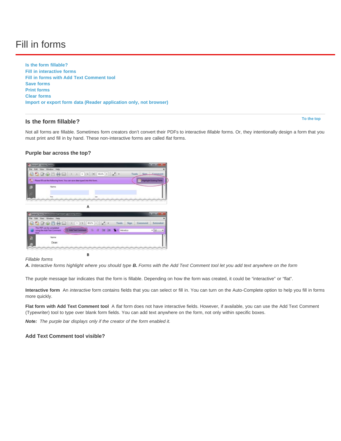# <span id="page-26-0"></span>Fill in forms

**[Is the form fillable?](#page-26-1) [Fill in interactive forms](#page-28-0) [Fill in forms with Add Text Comment tool](#page-29-0) [Save forms](#page-29-1) [Print forms](#page-29-2) [Clear forms](#page-29-3) [Import or export form data \(Reader application only, not browser\)](#page-30-0)**

# <span id="page-26-1"></span>**Is the form fillable?**

Not all forms are fillable. Sometimes form creators don't convert their PDFs to interactive *fillable* forms. Or, they intentionally design a form that you must print and fill in by hand. These non-interactive forms are called *flat* forms.

## **Purple bar across the top?**

| form pdf - Adobe Reader<br>æ                                                                          | <b>SCHOOL SECTION</b>                |
|-------------------------------------------------------------------------------------------------------|--------------------------------------|
| Edit View Window Help<br>File                                                                         |                                      |
| $B$ 2 $C$ $B$ $C$ $C$ $1$ $1$ $C$ $B1$ <sup>x</sup><br>ы                                              | Tools<br>Sion Comment                |
| 己<br>Please fill out the following form. You can save data typed into the form.                       | <b>Highlight Eviding Fields</b><br>a |
| Name                                                                                                  |                                      |
| <b>Thus:</b><br><b>Let</b>                                                                            |                                      |
|                                                                                                       |                                      |
| А                                                                                                     |                                      |
|                                                                                                       |                                      |
| 3. sample form ReaderExtended basicadf - Adobe Reader                                                 | <b>WEIGHT</b>                        |
| File Edit View Window Help                                                                            |                                      |
| $\bigcirc$<br>日日<br>$\leftarrow$<br>83.1%<br>7.1<br>Ш<br>Isid<br>×                                    | Tools<br>Sign<br>Extended<br>Comment |
| This PDF can be completed.<br>Add Text Comment<br>Ⅱ       T · Helvetica<br>using the Add Test Comment | $-112$<br>٠                          |
| teel                                                                                                  |                                      |
|                                                                                                       |                                      |
| Name<br>а                                                                                             |                                      |
| Dean                                                                                                  |                                      |
|                                                                                                       |                                      |

B

#### *Fillable forms*

*A. Interactive forms highlight where you should type B. Forms with the Add Text Comment tool let you add text anywhere on the form* 

The purple message bar indicates that the form is fillable. Depending on how the form was created, it could be "interactive" or "flat".

**Interactive form** An *interactive* form contains fields that you can select or fill in. You can turn on the Auto-Complete option to help you fill in forms more quickly.

**Flat form with Add Text Comment tool** A *flat* form does not have interactive fields. However, if available, you can use the Add Text Comment (Typewriter) tool to type over blank form fields. You can add text anywhere on the form, not only within specific boxes.

*Note: The purple bar displays only if the creator of the form enabled it.*

#### **Add Text Comment tool visible?**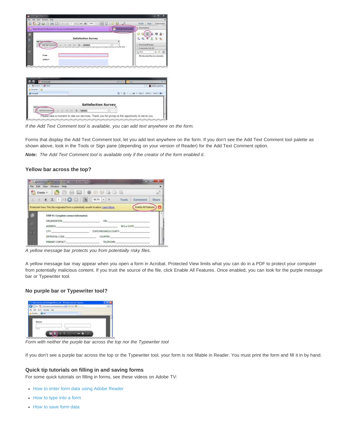

| Q * 四 + L2 H * Page * Stety * Task * Q *                                                                                                    |
|---------------------------------------------------------------------------------------------------------------------------------------------|
|                                                                                                                                             |
|                                                                                                                                             |
| <b>Satisfaction Survey</b><br>$-11 - -$<br>Please take a moment to rate our services. Thank you for giving us the opportunity to serve you. |

*If the Add Text Comment tool is available, you can add text anywhere on the form.*

Forms that display the Add Text Comment tool, let you add text anywhere on the form. If you don't see the Add Text Comment tool palette as shown above, look in the Tools or Sign pane (depending on your version of Reader) for the Add Text Comment option.

*Note: The Add Text Comment tool is available only if the creator of the form enabled it.*

#### **Yellow bar across the top?**

|        | File Edit View Window Help                                                                                                                                                                                                     |                                                                                                                                                                                                                                |                                                                      |        |
|--------|--------------------------------------------------------------------------------------------------------------------------------------------------------------------------------------------------------------------------------|--------------------------------------------------------------------------------------------------------------------------------------------------------------------------------------------------------------------------------|----------------------------------------------------------------------|--------|
|        |                                                                                                                                                                                                                                |                                                                                                                                                                                                                                |                                                                      |        |
|        | $\pi$ ( $\frac{1}{2}$ ( $\frac{1}{2}$ 1 / 2 $\frac{1}{2}$ 0 $\frac{1}{2}$   $\frac{1}{2}$   663% $\frac{1}{2}$ + Tools                                                                                                         |                                                                                                                                                                                                                                | Comment                                                              | Share: |
|        | Protected View: This file originated from a potentially unsafe location. Learn More,                                                                                                                                           |                                                                                                                                                                                                                                | Enable All Features                                                  |        |
|        |                                                                                                                                                                                                                                |                                                                                                                                                                                                                                |                                                                      |        |
|        | STEP #1: Complete contact information                                                                                                                                                                                          |                                                                                                                                                                                                                                |                                                                      |        |
| u      | ORGANIZATION: WELL ARRESTED FOR THE CONTROL CONTROL CONTROL CONTROL CONTROL CONTROL CONTROL CONTROL CONTROL CONTROL CONTROL CONTROL CONTROL CONTROL CONTROL CONTROL CONTROL CONTROL CONTROL CONTROL CONTROL CONTROL CONTROL CO |                                                                                                                                                                                                                                |                                                                      |        |
|        | ADDRESS: ADDRESS:                                                                                                                                                                                                              |                                                                                                                                                                                                                                | URL: Production of the Commission of the Commission<br>M/S or SUITE: |        |
|        | CITY: STATE/PROVINCE/COUNTY:                                                                                                                                                                                                   |                                                                                                                                                                                                                                |                                                                      |        |
| g<br>m | ZIP/POSTAL CODE: WELL ARE A CODE OF THE CONTRACT OF THE CODE OF THE CONTRACT OF THE CONTRACT OF THE CONTRACT OF THE CONTRACT OF THE CONTRACT OF THE CONTRACT OF THE CONTRACT OF THE CONTRACT OF THE CONTRACT OF THE CONTRACT O | COUNTRY: The country of the country of the country of the country of the country of the country of the country of the country of the country of the country of the country of the country of the country of the country of the |                                                                      |        |

*A yellow message bar protects you from potentially risky files.*

A yellow message bar may appear when you open a form in Acrobat. Protected View limits what you can do in a PDF to protect your computer from potentially malicious content. If you trust the source of the file, click Enable All Features. Once enabled, you can look for the purple message bar or Typewriter tool.

#### **No purple bar or Typewriter tool?**



*Form with neither the purple bar across the top nor the Typewriter tool*

If you don't see a purple bar across the top or the Typewriter tool, your form is not fillable in Reader. You must print the form and fill it in by hand.

#### **Quick tip tutorials on filling in and saving forms**

For some quick tutorials on filling in forms, see these videos on Adobe TV:

- [How to enter form data using Adobe Reader](http://tv.adobe.com/watch/acrobat-x-tips-tricks/quick-tip-how-to-enter-form-data-using-adobe-reader/)
- [How to type into a form](http://tv.adobe.com/watch/acrobat-x-tips-tricks/quick-tip-how-to-type-into-a-pdf-form-in-adobe-reader/)
- [How to save form data](http://tv.adobe.com/watch/acrobat-x-tips-tricks/quick-tip-how-to-save-form-data-in-adobe-reader/)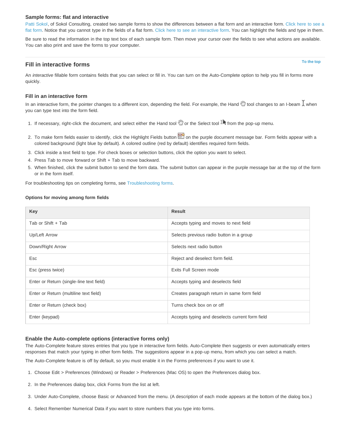#### **Sample forms: flat and interactive**

[Patti Sokol,](http://www.sokolconsulting.com/) of Sokol Consulting, created two sample forms to show the differences between a flat form and an interactive form. [Click here to see a](http://help.adobe.com/en_US/Acrobat/9.0/Samples/flatform.pdf) [flat form.](http://help.adobe.com/en_US/Acrobat/9.0/Samples/flatform.pdf) Notice that you cannot type in the fields of a flat form. [Click here to see an interactive form.](http://help.adobe.com/en_US/Acrobat/9.0/Samples/interactiveform_enabled.pdf) You can highlight the fields and type in them.

Be sure to read the information in the top text box of each sample form. Then move your cursor over the fields to see what actions are available. You can also print and save the forms to your computer.

#### <span id="page-28-0"></span>**Fill in interactive forms**

**[To the top](#page-26-0)**

An *interactive* fillable form contains fields that you can select or fill in. You can turn on the Auto-Complete option to help you fill in forms more quickly.

#### **Fill in an interactive form**

In an interactive form, the pointer changes to a different icon, depending the field. For example, the Hand  $\mathbb {Q}$  tool changes to an I-beam  $\bar l$  when you can type text into the form field.

- 1. If necessary, right-click the document, and select either the Hand tool  $\mathbb{S}^n$  or the Select tool  $\mathbb{I}$  from the pop-up menu.
- 2. To make form fields easier to identify, click the Highlight Fields button  $\Xi^2$  on the purple document message bar. Form fields appear with a colored background (light blue by default). A colored outline (red by default) identifies required form fields.
- 3. Click inside a text field to type. For check boxes or selection buttons, click the option you want to select.
- 4. Press Tab to move forward or Shift + Tab to move backward.
- 5. When finished, click the submit button to send the form data. The submit button can appear in the purple message bar at the top of the form or in the form itself.

For troubleshooting tips on completing forms, see [Troubleshooting forms](http://kb2.adobe.com/cps/531/cpsid_53173.html).

#### **Options for moving among form fields**

| Key                                      | <b>Result</b>                                   |
|------------------------------------------|-------------------------------------------------|
| Tab or Shift + Tab                       | Accepts typing and moves to next field          |
| Up/Left Arrow                            | Selects previous radio button in a group        |
| Down/Right Arrow                         | Selects next radio button                       |
| Esc                                      | Reject and deselect form field.                 |
| Esc (press twice)                        | Exits Full Screen mode                          |
| Enter or Return (single-line text field) | Accepts typing and deselects field              |
| Enter or Return (multiline text field)   | Creates paragraph return in same form field     |
| Enter or Return (check box)              | Turns check box on or off                       |
| Enter (keypad)                           | Accepts typing and deselects current form field |

#### **Enable the Auto-complete options (interactive forms only)**

The Auto-Complete feature stores entries that you type in interactive form fields. Auto-Complete then suggests or even automatically enters responses that match your typing in other form fields. The suggestions appear in a pop-up menu, from which you can select a match.

The Auto-Complete feature is off by default, so you must enable it in the Forms preferences if you want to use it.

- 1. Choose Edit > Preferences (Windows) or Reader > Preferences (Mac OS) to open the Preferences dialog box.
- 2. In the Preferences dialog box, click Forms from the list at left.
- 3. Under Auto-Complete, choose Basic or Advanced from the menu. (A description of each mode appears at the bottom of the dialog box.)
- 4. Select Remember Numerical Data if you want to store numbers that you type into forms.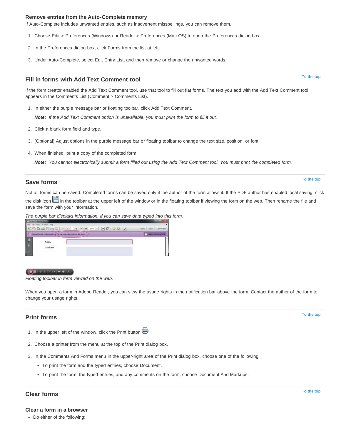#### **Remove entries from the Auto-Complete memory**

If Auto-Complete includes unwanted entries, such as inadvertent misspellings, you can remove them.

- 1. Choose Edit > Preferences (Windows) or Reader > Preferences (Mac OS) to open the Preferences dialog box.
- 2. In the Preferences dialog box, click Forms from the list at left.
- 3. Under Auto-Complete, select Edit Entry List, and then remove or change the unwanted words.

### <span id="page-29-0"></span>**Fill in forms with Add Text Comment tool**

If the form creator enabled the Add Text Comment tool, use that tool to fill out flat forms. The text you add with the Add Text Comment tool appears in the Comments List (Comment > Comments List).

1. In either the purple message bar or floating toolbar, click Add Text Comment.

*Note: If the Add Text Comment option is unavailable, you must print the form to fill it out.*

- 2. Click a blank form field and type.
- 3. (Optional) Adjust options in the purple message bar or floating toolbar to change the text size, position, or font.
- 4. When finished, print a copy of the completed form.

*Note: You cannot electronically submit a form filled out using the Add Text Comment tool. You must print the completed form.*

#### <span id="page-29-1"></span>**Save forms**

Not all forms can be saved. Completed forms can be saved only if the author of the form allows it. If the PDF author has enabled local saving, click the disk icon in the toolbar at the upper left of the window or in the floating toolbar if viewing the form on the web. Then rename the file and save the form with your information.

*The purple bar displays information, if you can save data typed into this form.*



*Floating toolbar in form viewed on the web.*

When you open a form in Adobe Reader, you can view the usage rights in the notification bar above the form. Contact the author of the form to change your usage rights.

### <span id="page-29-2"></span>**Print forms**

1. In the upper left of the window, click the Print button  $\Box$ .

2. Choose a printer from the menu at the top of the Print dialog box.

3. In the Comments And Forms menu in the upper-right area of the Print dialog box, choose one of the following:

- To print the form and the typed entries, choose Document.
- To print the form, the typed entries, and any comments on the form, choose Document And Markups.

# <span id="page-29-3"></span>**Clear forms**

**Clear a form in a browser**

**[To the top](#page-26-0)**

**[To the top](#page-26-0)**

**[To the top](#page-26-0)**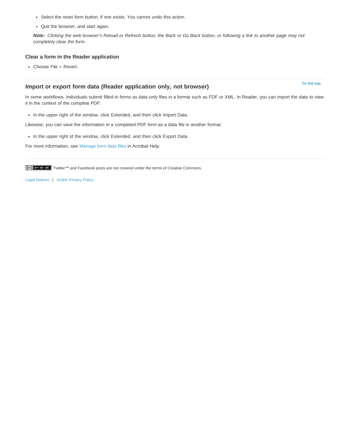- Select the reset form button, if one exists. You cannot undo this action.
- Quit the browser, and start again.

*Note: Clicking the web browser's Reload or Refresh button, the Back or Go Back button, or following a link to another page may not completely clear the form.*

#### **Clear a form in the Reader application**

Choose File > Revert.

### <span id="page-30-0"></span>**Import or export form data (Reader application only, not browser)**

**[To the top](#page-26-0)**

In some workflows, individuals submit filled-in forms as data-only files in a format such as FDF or XML. In Reader, you can import the data to view it in the context of the complete PDF:

• In the upper right of the window, click Extended, and then click Import Data.

Likewise, you can save the information in a completed PDF form as a data file in another format:

• In the upper right of the window, click Extended, and then click Export Data.

For more information, see [Manage form data files](http://help.adobe.com/en_US/acrobat/using/WSDD95883E-EB9B-409b-8C7C-33E0DAE68FFE.html) in Acrobat Help.

Twitter™ and Facebook posts are not covered under the terms of Creative Commons.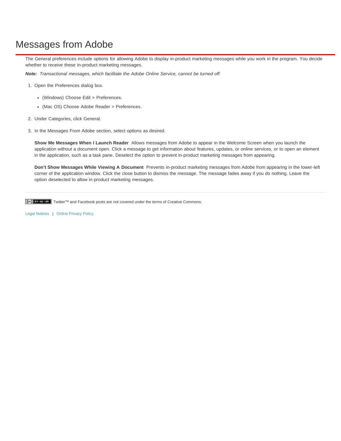# Messages from Adobe

The General preferences include options for allowing Adobe to display in-product marketing messages while you work in the program. You decide whether to receive these in-product marketing messages.

*Note: Transactional messages, which facilitate the Adobe Online Service, cannot be turned off.*

- 1. Open the Preferences dialog box.
	- (Windows) Choose Edit > Preferences.
	- (Mac OS) Choose Adobe Reader > Preferences.
- 2. Under Categories, click General.
- 3. In the Messages From Adobe section, select options as desired.

**Show Me Messages When I Launch Reader** Allows messages from Adobe to appear in the Welcome Screen when you launch the application without a document open. Click a message to get information about features, updates, or online services, or to open an element in the application, such as a task pane. Deselect the option to prevent in-product marketing messages from appearing.

Don't Show Messages While Viewing A Document Prevents in-product marketing messages from Adobe from appearing in the lower-left corner of the application window. Click the close button to dismiss the message. The message fades away if you do nothing. Leave the option deselected to allow in-product marketing messages.

Twitter™ and Facebook posts are not covered under the terms of Creative Commons.